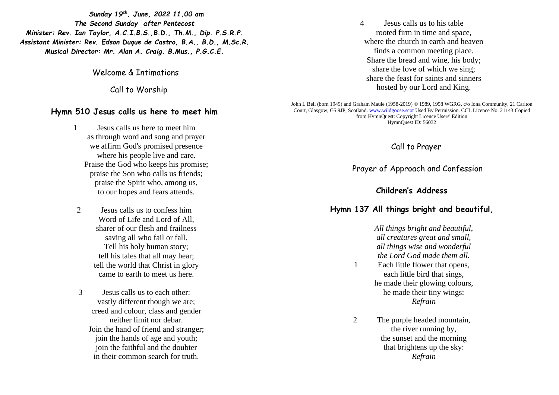*Sunday 19th. June, 2022 11.00 am The Second Sunday after Pentecost Minister: Rev. Ian Taylor, A.C.I.B.S.,B.D., Th.M., Dip. P.S.R.P. Assistant Minister: Rev. Edson Duque de Castro, B.A., B.D., M.Sc.R. Musical Director: Mr. Alan A. Craig. B.Mus., P.G.C.E.*

Welcome & Intimations

Call to Worship

# **Hymn 510 Jesus calls us here to meet him**

- 1 Jesus calls us here to meet him as through word and song and prayer we affirm God's promised presence where his people live and care. Praise the God who keeps his promise; praise the Son who calls us friends; praise the Spirit who, among us, to our hopes and fears attends.
- 2 Jesus calls us to confess him Word of Life and Lord of All sharer of our flesh and frailness saving all who fail or fall. Tell his holy human story; tell his tales that all may hear; tell the world that Christ in glory came to earth to meet us here.
- 3 Jesus calls us to each other: vastly different though we are; creed and colour, class and gender neither limit nor debar. Join the hand of friend and stranger; join the hands of age and youth; join the faithful and the doubter in their common search for truth.

4 Jesus calls us to his table rooted firm in time and space, where the church in earth and heaven finds a common meeting place. Share the bread and wine, his body; share the love of which we sing; share the feast for saints and sinners hosted by our Lord and King.

John L Bell (born 1949) and Graham Maule (1958-2019) © 1989, 1998 WGRG, c/o Iona Community, 21 Carlton Court, Glasgow, G5 9JP, Scotland[. www.wildgoose.scot](http://www.wildgoose.scot/) Used By Permission. CCL Licence No. 21143 Copied from HymnQuest: Copyright Licence Users' Edition HymnQuest ID: 56032

Call to Prayer

Prayer of Approach and Confession

# **Children's Address**

# **Hymn 137 All things bright and beautiful,**

*All things bright and beautiful, all creatures great and small, all things wise and wonderful the Lord God made them all.*  1 Each little flower that opens, each little bird that sings, he made their glowing colours, he made their tiny wings: *Refrain* 

2 The purple headed mountain, the river running by, the sunset and the morning that brightens up the sky: *Refrain*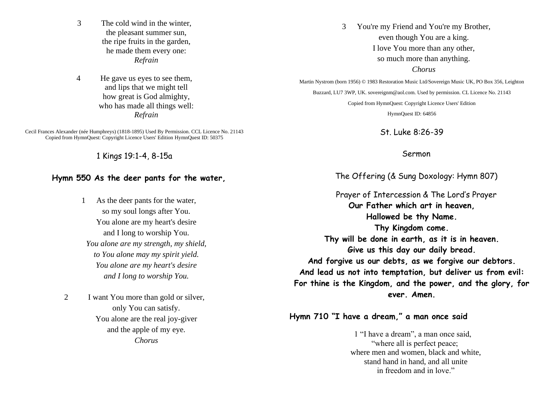3 The cold wind in the winter, the pleasant summer sun, the ripe fruits in the garden, he made them every one: *Refrain* 

4 He gave us eyes to see them, and lips that we might tell how great is God almighty, who has made all things well: *Refrain* 

Cecil Frances Alexander (née Humphreys) (1818-1895) Used By Permission. CCL Licence No. 21143 Copied from HymnQuest: Copyright Licence Users' Edition HymnQuest ID: 50375

1 Kings 19:1-4, 8-15a

### **Hymn 550 As the deer pants for the water,**

- 1 As the deer pants for the water, so my soul longs after You. You alone are my heart's desire and I long to worship You. *You alone are my strength, my shield, to You alone may my spirit yield. You alone are my heart's desire and I long to worship You.*
- 2 I want You more than gold or silver, only You can satisfy. You alone are the real joy-giver and the apple of my eye. *Chorus*

3 You're my Friend and You're my Brother, even though You are a king. I love You more than any other, so much more than anything. *Chorus* 

Martin Nystrom (born 1956) © 1983 Restoration Music Ltd/Sovereign Music UK, PO Box 356, Leighton Buzzard, LU7 3WP, UK. sovereignm@aol.com. Used by permission. CL Licence No. 21143 Copied from HymnQuest: Copyright Licence Users' Edition

HymnQuest ID: 64856

St. Luke 8:26-39

#### Sermon

The Offering (& Sung Doxology: Hymn 807)

Prayer of Intercession & The Lord's Prayer **Our Father which art in heaven, Hallowed be thy Name. Thy Kingdom come. Thy will be done in earth, as it is in heaven. Give us this day our daily bread. And forgive us our debts, as we forgive our debtors. And lead us not into temptation, but deliver us from evil: For thine is the Kingdom, and the power, and the glory, for ever. Amen.**

# **Hymn 710 "I have a dream," a man once said**

1 "I have a dream", a man once said, "where all is perfect peace; where men and women, black and white, stand hand in hand, and all unite in freedom and in love."